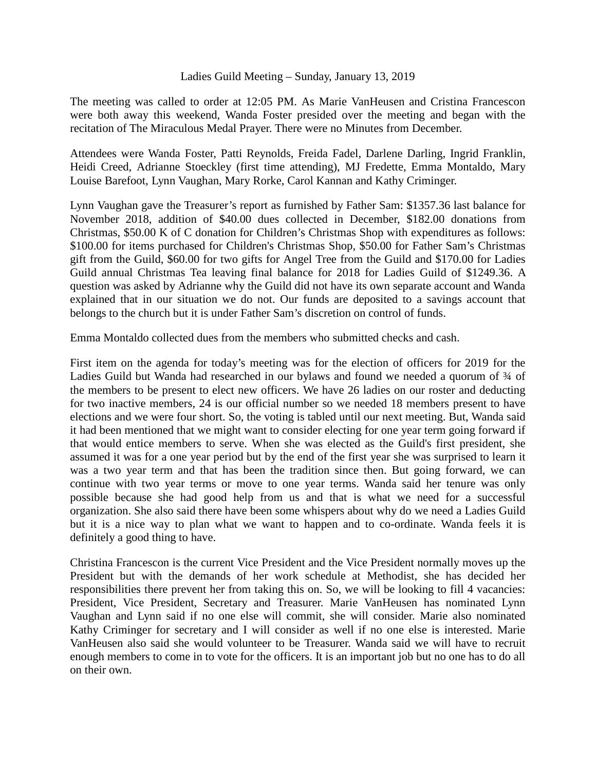## Ladies Guild Meeting – Sunday, January 13, 2019

The meeting was called to order at 12:05 PM. As Marie VanHeusen and Cristina Francescon were both away this weekend, Wanda Foster presided over the meeting and began with the recitation of The Miraculous Medal Prayer. There were no Minutes from December.

Attendees were Wanda Foster, Patti Reynolds, Freida Fadel, Darlene Darling, Ingrid Franklin, Heidi Creed, Adrianne Stoeckley (first time attending), MJ Fredette, Emma Montaldo, Mary Louise Barefoot, Lynn Vaughan, Mary Rorke, Carol Kannan and Kathy Criminger.

Lynn Vaughan gave the Treasurer's report as furnished by Father Sam: \$1357.36 last balance for November 2018, addition of \$40.00 dues collected in December, \$182.00 donations from Christmas, \$50.00 K of C donation for Children's Christmas Shop with expenditures as follows: \$100.00 for items purchased for Children's Christmas Shop, \$50.00 for Father Sam's Christmas gift from the Guild, \$60.00 for two gifts for Angel Tree from the Guild and \$170.00 for Ladies Guild annual Christmas Tea leaving final balance for 2018 for Ladies Guild of \$1249.36. A question was asked by Adrianne why the Guild did not have its own separate account and Wanda explained that in our situation we do not. Our funds are deposited to a savings account that belongs to the church but it is under Father Sam's discretion on control of funds.

Emma Montaldo collected dues from the members who submitted checks and cash.

First item on the agenda for today's meeting was for the election of officers for 2019 for the Ladies Guild but Wanda had researched in our bylaws and found we needed a quorum of  $\frac{3}{4}$  of the members to be present to elect new officers. We have 26 ladies on our roster and deducting for two inactive members, 24 is our official number so we needed 18 members present to have elections and we were four short. So, the voting is tabled until our next meeting. But, Wanda said it had been mentioned that we might want to consider electing for one year term going forward if that would entice members to serve. When she was elected as the Guild's first president, she assumed it was for a one year period but by the end of the first year she was surprised to learn it was a two year term and that has been the tradition since then. But going forward, we can continue with two year terms or move to one year terms. Wanda said her tenure was only possible because she had good help from us and that is what we need for a successful organization. She also said there have been some whispers about why do we need a Ladies Guild but it is a nice way to plan what we want to happen and to co-ordinate. Wanda feels it is definitely a good thing to have.

Christina Francescon is the current Vice President and the Vice President normally moves up the President but with the demands of her work schedule at Methodist, she has decided her responsibilities there prevent her from taking this on. So, we will be looking to fill 4 vacancies: President, Vice President, Secretary and Treasurer. Marie VanHeusen has nominated Lynn Vaughan and Lynn said if no one else will commit, she will consider. Marie also nominated Kathy Criminger for secretary and I will consider as well if no one else is interested. Marie VanHeusen also said she would volunteer to be Treasurer. Wanda said we will have to recruit enough members to come in to vote for the officers. It is an important job but no one has to do all on their own.